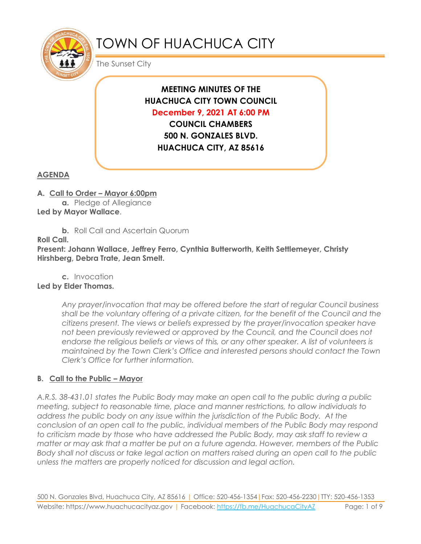

# TOWN OF HUACHUCA CITY

The Sunset City

# **MEETING MINUTES OF THE HUACHUCA CITY TOWN COUNCIL December 9, 2021 AT 6:00 PM COUNCIL CHAMBERS**

**500 N. GONZALES BLVD. HUACHUCA CITY, AZ 85616**

## **AGENDA**

#### **A. Call to Order – Mayor 6:00pm**

**a.** Pledge of Allegiance **Led by Mayor Wallace**.

**b.** Roll Call and Ascertain Quorum

**Roll Call.**

**Present: Johann Wallace, Jeffrey Ferro, Cynthia Butterworth, Keith Settlemeyer, Christy Hirshberg, Debra Trate, Jean Smelt.**

**c.** Invocation

## **Led by Elder Thomas.**

*Any prayer/invocation that may be offered before the start of regular Council business shall be the voluntary offering of a private citizen, for the benefit of the Council and the citizens present. The views or beliefs expressed by the prayer/invocation speaker have not been previously reviewed or approved by the Council, and the Council does not endorse the religious beliefs or views of this, or any other speaker. A list of volunteers is maintained by the Town Clerk's Office and interested persons should contact the Town Clerk's Office for further information.*

#### **B. Call to the Public – Mayor**

*A.R.S. 38-431.01 states the Public Body may make an open call to the public during a public meeting, subject to reasonable time, place and manner restrictions, to allow individuals to address the public body on any issue within the jurisdiction of the Public Body. At the conclusion of an open call to the public, individual members of the Public Body may respond to criticism made by those who have addressed the Public Body, may ask staff to review a matter or may ask that a matter be put on a future agenda. However, members of the Public Body shall not discuss or take legal action on matters raised during an open call to the public unless the matters are properly noticed for discussion and legal action.*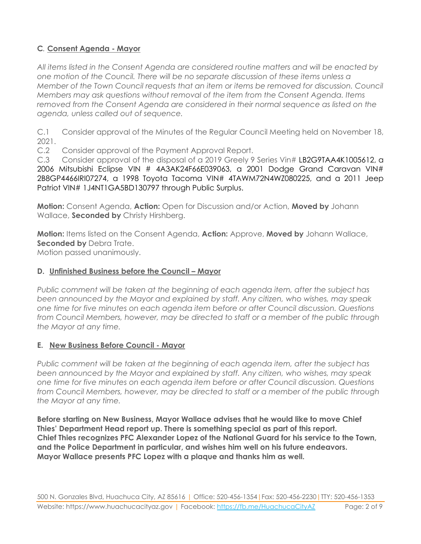#### **C***.* **Consent Agenda - Mayor**

*All items listed in the Consent Agenda are considered routine matters and will be enacted by one motion of the Council. There will be no separate discussion of these items unless a Member of the Town Council requests that an item or items be removed for discussion. Council Members may ask questions without removal of the item from the Consent Agenda. Items removed from the Consent Agenda are considered in their normal sequence as listed on the agenda, unless called out of sequence.*

C.1 Consider approval of the Minutes of the Regular Council Meeting held on November 18, 2021.

C.2 Consider approval of the Payment Approval Report.

C.3 Consider approval of the disposal of a 2019 Greely 9 Series Vin# LB2G9TAA4K1005612, a 2006 Mitsubishi Eclipse VIN # 4A3AK24F66E039063, a 2001 Dodge Grand Caravan VIN# 2B8GP4466IRI07274, a 1998 Toyota Tacoma VIN# 4TAWM72N4WZ080225, and a 2011 Jeep Patriot VIN# 1J4NT1GA5BD130797 through Public Surplus.

**Motion:** Consent Agenda, **Action:** Open for Discussion and/or Action, **Moved by** Johann Wallace, **Seconded by** Christy Hirshberg.

**Motion:** Items listed on the Consent Agenda, **Action:** Approve, **Moved by** Johann Wallace, **Seconded by** Debra Trate. Motion passed unanimously.

#### **D. Unfinished Business before the Council – Mayor**

*Public comment will be taken at the beginning of each agenda item, after the subject has been announced by the Mayor and explained by staff. Any citizen, who wishes, may speak one time for five minutes on each agenda item before or after Council discussion. Questions from Council Members, however, may be directed to staff or a member of the public through the Mayor at any time.*

#### **E. New Business Before Council - Mayor**

*Public comment will be taken at the beginning of each agenda item, after the subject has been announced by the Mayor and explained by staff. Any citizen, who wishes, may speak one time for five minutes on each agenda item before or after Council discussion. Questions from Council Members, however, may be directed to staff or a member of the public through the Mayor at any time.*

**Before starting on New Business, Mayor Wallace advises that he would like to move Chief Thies' Department Head report up. There is something special as part of this report. Chief Thies recognizes PFC Alexander Lopez of the National Guard for his service to the Town, and the Police Department in particular, and wishes him well on his future endeavors. Mayor Wallace presents PFC Lopez with a plaque and thanks him as well.**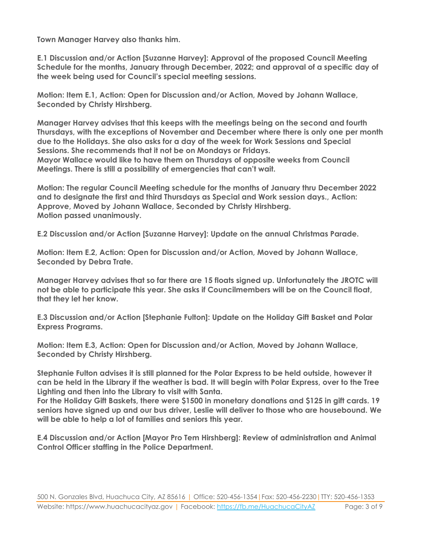**Town Manager Harvey also thanks him.** 

**E.1 Discussion and/or Action [Suzanne Harvey]: Approval of the proposed Council Meeting Schedule for the months, January through December, 2022; and approval of a specific day of the week being used for Council's special meeting sessions.** 

**Motion: Item E.1, Action: Open for Discussion and/or Action, Moved by Johann Wallace, Seconded by Christy Hirshberg.**

**Manager Harvey advises that this keeps with the meetings being on the second and fourth Thursdays, with the exceptions of November and December where there is only one per month due to the Holidays. She also asks for a day of the week for Work Sessions and Special Sessions. She recommends that it not be on Mondays or Fridays. Mayor Wallace would like to have them on Thursdays of opposite weeks from Council Meetings. There is still a possibility of emergencies that can't wait.**

**Motion: The regular Council Meeting schedule for the months of January thru December 2022 and to designate the first and third Thursdays as Special and Work session days., Action: Approve, Moved by Johann Wallace, Seconded by Christy Hirshberg. Motion passed unanimously.**

**E.2 Discussion and/or Action [Suzanne Harvey]: Update on the annual Christmas Parade.** 

**Motion: Item E.2, Action: Open for Discussion and/or Action, Moved by Johann Wallace, Seconded by Debra Trate.**

**Manager Harvey advises that so far there are 15 floats signed up. Unfortunately the JROTC will not be able to participate this year. She asks if Councilmembers will be on the Council float, that they let her know.** 

**E.3 Discussion and/or Action [Stephanie Fulton]: Update on the Holiday Gift Basket and Polar Express Programs.** 

**Motion: Item E.3, Action: Open for Discussion and/or Action, Moved by Johann Wallace, Seconded by Christy Hirshberg.**

**Stephanie Fulton advises it is still planned for the Polar Express to be held outside, however it can be held in the Library if the weather is bad. It will begin with Polar Express, over to the Tree Lighting and then into the Library to visit with Santa.**

**For the Holiday Gift Baskets, there were \$1500 in monetary donations and \$125 in gift cards. 19 seniors have signed up and our bus driver, Leslie will deliver to those who are housebound. We will be able to help a lot of families and seniors this year.**

**E.4 Discussion and/or Action [Mayor Pro Tem Hirshberg]: Review of administration and Animal Control Officer staffing in the Police Department.**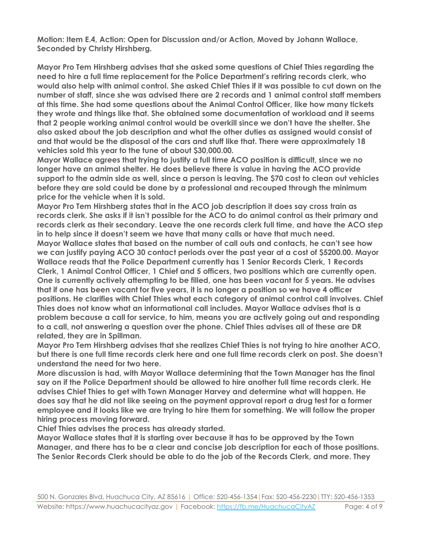**Motion: Item E.4, Action: Open for Discussion and/or Action, Moved by Johann Wallace, Seconded by Christy Hirshberg.**

**Mayor Pro Tem Hirshberg advises that she asked some questions of Chief Thies regarding the need to hire a full time replacement for the Police Department's retiring records clerk, who would also help with animal control. She asked Chief Thies if it was possible to cut down on the number of staff, since she was advised there are 2 records and 1 animal control staff members at this time. She had some questions about the Animal Control Officer, like how many tickets they wrote and things like that. She obtained some documentation of workload and it seems that 2 people working animal control would be overkill since we don't have the shelter. She also asked about the job description and what the other duties as assigned would consist of and that would be the disposal of the cars and stuff like that. There were approximately 18 vehicles sold this year to the tune of about \$30,000.00.**

**Mayor Wallace agrees that trying to justify a full time ACO position is difficult, since we no longer have an animal shelter. He does believe there is value in having the ACO provide support to the admin side as well, since a person is leaving. The \$70 cost to clean out vehicles before they are sold could be done by a professional and recouped through the minimum price for the vehicle when it is sold.** 

**Mayor Pro Tem Hirshberg states that in the ACO job description it does say cross train as records clerk. She asks if it isn't possible for the ACO to do animal control as their primary and records clerk as their secondary. Leave the one records clerk full time, and have the ACO step in to help since it doesn't seem we have that many calls or have that much need. Mayor Wallace states that based on the number of call outs and contacts, he can't see how we can justify paying ACO 30 contact periods over the past year at a cost of \$5200.00. Mayor Wallace reads that the Police Department currently has 1 Senior Records Clerk, 1 Records Clerk, 1 Animal Control Officer, 1 Chief and 5 officers, two positions which are currently open. One is currently actively attempting to be filled, one has been vacant for 5 years. He advises that if one has been vacant for five years, it is no longer a position so we have 4 officer positions. He clarifies with Chief Thies what each category of animal control call involves. Chief Thies does not know what an informational call includes. Mayor Wallace advises that is a problem because a call for service, to him, means you are actively going out and responding to a call, not answering a question over the phone. Chief Thies advises all of these are DR related, they are in Spillman.**

**Mayor Pro Tem Hirshberg advises that she realizes Chief Thies is not trying to hire another ACO, but there is one full time records clerk here and one full time records clerk on post. She doesn't understand the need for two here.** 

**More discussion is had, with Mayor Wallace determining that the Town Manager has the final say on if the Police Department should be allowed to hire another full time records clerk. He advises Chief Thies to get with Town Manager Harvey and determine what will happen. He does say that he did not like seeing on the payment approval report a drug test for a former employee and it looks like we are trying to hire them for something. We will follow the proper hiring process moving forward.**

**Chief Thies advises the process has already started.**

**Mayor Wallace states that it is starting over because it has to be approved by the Town Manager, and there has to be a clear and concise job description for each of those positions. The Senior Records Clerk should be able to do the job of the Records Clerk, and more. They**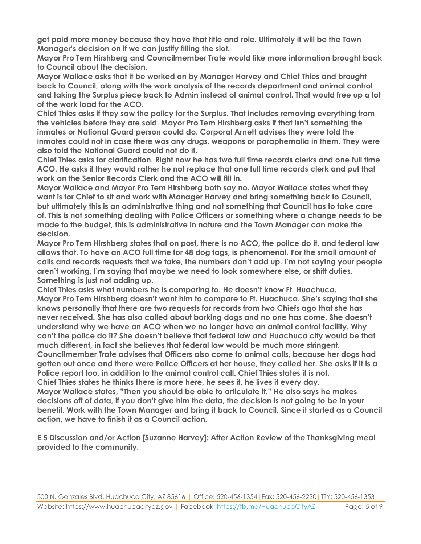**get paid more money because they have that title and role. Ultimately it will be the Town Manager's decision on if we can justify filling the slot.** 

**Mayor Pro Tem Hirshberg and Councilmember Trate would like more information brought back to Council about the decision.**

**Mayor Wallace asks that it be worked on by Manager Harvey and Chief Thies and brought back to Council, along with the work analysis of the records department and animal control and taking the Surplus piece back to Admin instead of animal control. That would free up a lot of the work load for the ACO.**

**Chief Thies asks if they saw the policy for the Surplus. That includes removing everything from the vehicles before they are sold. Mayor Pro Tem Hirshberg asks if that isn't something the inmates or National Guard person could do. Corporal Arnett advises they were told the inmates could not in case there was any drugs, weapons or paraphernalia in them. They were also told the National Guard could not do it.** 

**Chief Thies asks for clarification. Right now he has two full time records clerks and one full time ACO. He asks if they would rather he not replace that one full time records clerk and put that work on the Senior Records Clerk and the ACO will fill in.**

**Mayor Wallace and Mayor Pro Tem Hirshberg both say no. Mayor Wallace states what they want is for Chief to sit and work with Manager Harvey and bring something back to Council, but ultimately this is an administrative thing and not something that Council has to take care of. This is not something dealing with Police Officers or something where a change needs to be made to the budget, this is administrative in nature and the Town Manager can make the decision.**

**Mayor Pro Tem Hirshberg states that on post, there is no ACO, the police do it, and federal law allows that. To have an ACO full time for 48 dog tags, is phenomenal. For the small amount of calls and records requests that we take, the numbers don't add up. I'm not saying your people aren't working, I'm saying that maybe we need to look somewhere else, or shift duties. Something is just not adding up.**

**Chief Thies asks what numbers he is comparing to. He doesn't know Ft. Huachuca. Mayor Pro Tem Hirshberg doesn't want him to compare to Ft. Huachuca. She's saying that she knows personally that there are two requests for records from two Chiefs ago that she has never received. She has also called about barking dogs and no one has come. She doesn't understand why we have an ACO when we no longer have an animal control facility. Why can't the police do it? She doesn't believe that federal law and Huachuca city would be that much different, in fact she believes that federal law would be much more stringent. Councilmember Trate advises that Officers also come to animal calls, because her dogs had gotten out once and there were Police Officers at her house, they called her. She asks if it is a Police report too, in addition to the animal control call. Chief Thies states it is not. Chief Thies states he thinks there is more here, he sees it, he lives it every day. Mayor Wallace states, "Then you should be able to articulate it." He also says he makes decisions off of data, if you don't give him the data, the decision is not going to be in your benefit. Work with the Town Manager and bring it back to Council. Since it started as a Council action, we have to finish it as a Council action.**

**E.5 Discussion and/or Action [Suzanne Harvey]: After Action Review of the Thanksgiving meal provided to the community.**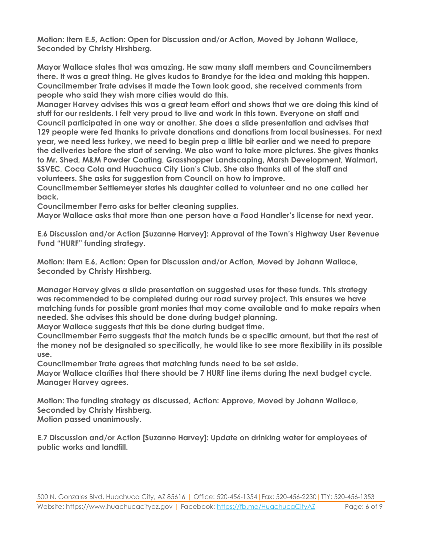**Motion: Item E.5, Action: Open for Discussion and/or Action, Moved by Johann Wallace, Seconded by Christy Hirshberg.**

**Mayor Wallace states that was amazing. He saw many staff members and Councilmembers there. It was a great thing. He gives kudos to Brandye for the idea and making this happen. Councilmember Trate advises it made the Town look good, she received comments from people who said they wish more cities would do this.** 

**Manager Harvey advises this was a great team effort and shows that we are doing this kind of stuff for our residents. I felt very proud to live and work in this town. Everyone on staff and Council participated in one way or another. She does a slide presentation and advises that 129 people were fed thanks to private donations and donations from local businesses. For next year, we need less turkey, we need to begin prep a little bit earlier and we need to prepare the deliveries before the start of serving. We also want to take more pictures. She gives thanks to Mr. Shed, M&M Powder Coating, Grasshopper Landscaping, Marsh Development, Walmart, SSVEC, Coca Cola and Huachuca City Lion's Club. She also thanks all of the staff and volunteers. She asks for suggestion from Council on how to improve.**

**Councilmember Settlemeyer states his daughter called to volunteer and no one called her back.** 

**Councilmember Ferro asks for better cleaning supplies.**

**Mayor Wallace asks that more than one person have a Food Handler's license for next year.**

**E.6 Discussion and/or Action [Suzanne Harvey]: Approval of the Town's Highway User Revenue Fund "HURF" funding strategy.** 

**Motion: Item E.6, Action: Open for Discussion and/or Action, Moved by Johann Wallace, Seconded by Christy Hirshberg.**

**Manager Harvey gives a slide presentation on suggested uses for these funds. This strategy was recommended to be completed during our road survey project. This ensures we have matching funds for possible grant monies that may come available and to make repairs when needed. She advises this should be done during budget planning.**

**Mayor Wallace suggests that this be done during budget time.**

**Councilmember Ferro suggests that the match funds be a specific amount, but that the rest of the money not be designated so specifically, he would like to see more flexibility in its possible use.**

**Councilmember Trate agrees that matching funds need to be set aside.**

**Mayor Wallace clarifies that there should be 7 HURF line items during the next budget cycle. Manager Harvey agrees.**

**Motion: The funding strategy as discussed, Action: Approve, Moved by Johann Wallace, Seconded by Christy Hirshberg.**

**Motion passed unanimously.**

**E.7 Discussion and/or Action [Suzanne Harvey]: Update on drinking water for employees of public works and landfill.**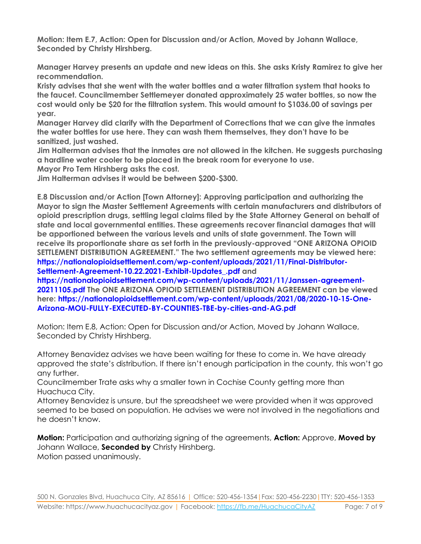**Motion: Item E.7, Action: Open for Discussion and/or Action, Moved by Johann Wallace, Seconded by Christy Hirshberg.**

**Manager Harvey presents an update and new ideas on this. She asks Kristy Ramirez to give her recommendation.** 

**Kristy advises that she went with the water bottles and a water filtration system that hooks to the faucet. Councilmember Settlemeyer donated approximately 25 water bottles, so now the cost would only be \$20 for the filtration system. This would amount to \$1036.00 of savings per year.** 

**Manager Harvey did clarify with the Department of Corrections that we can give the inmates the water bottles for use here. They can wash them themselves, they don't have to be sanitized, just washed.** 

**Jim Halterman advises that the inmates are not allowed in the kitchen. He suggests purchasing a hardline water cooler to be placed in the break room for everyone to use.** 

**Mayor Pro Tem Hirshberg asks the cost.**

**Jim Halterman advises it would be between \$200-\$300.**

**E.8 Discussion and/or Action [Town Attorney]: Approving participation and authorizing the Mayor to sign the Master Settlement Agreements with certain manufacturers and distributors of opioid prescription drugs, settling legal claims filed by the State Attorney General on behalf of state and local governmental entities. These agreements recover financial damages that will be apportioned between the various levels and units of state government. The Town will receive its proportionate share as set forth in the previously-approved "ONE ARIZONA OPIOID SETTLEMENT DISTRIBUTION AGREEMENT." The two settlement agreements may be viewed here: https://nationalopioidsettlement.com/wp-content/uploads/2021/11/Final-Distributor-Settlement-Agreement-10.22.2021-Exhibit-Updates\_.pdf and** 

**https://nationalopioidsettlement.com/wp-content/uploads/2021/11/Janssen-agreement-20211105.pdf The ONE ARIZONA OPIOID SETTLEMENT DISTRIBUTION AGREEMENT can be viewed here: https://nationalopioidsettlement.com/wp-content/uploads/2021/08/2020-10-15-One-Arizona-MOU-FULLY-EXECUTED-BY-COUNTIES-TBE-by-cities-and-AG.pdf** 

Motion: Item E.8, Action: Open for Discussion and/or Action, Moved by Johann Wallace, Seconded by Christy Hirshberg.

Attorney Benavidez advises we have been waiting for these to come in. We have already approved the state's distribution. If there isn't enough participation in the county, this won't go any further.

Councilmember Trate asks why a smaller town in Cochise County getting more than Huachuca City.

Attorney Benavidez is unsure, but the spreadsheet we were provided when it was approved seemed to be based on population. He advises we were not involved in the negotiations and he doesn't know.

**Motion:** Participation and authorizing signing of the agreements, **Action:** Approve, **Moved by** Johann Wallace, **Seconded by** Christy Hirshberg. Motion passed unanimously.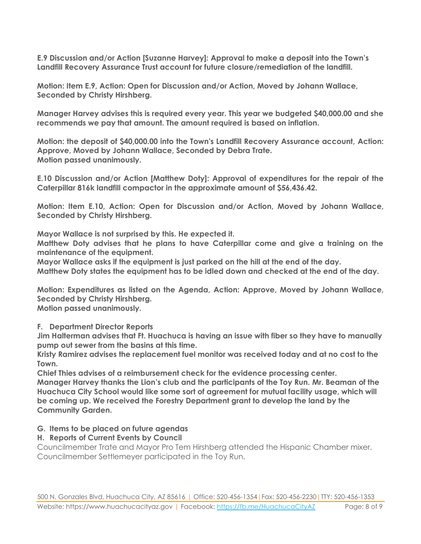**E.9 Discussion and/or Action [Suzanne Harvey]: Approval to make a deposit into the Town's Landfill Recovery Assurance Trust account for future closure/remediation of the landfill.** 

**Motion: Item E.9, Action: Open for Discussion and/or Action, Moved by Johann Wallace, Seconded by Christy Hirshberg.**

**Manager Harvey advises this is required every year. This year we budgeted \$40,000.00 and she recommends we pay that amount. The amount required is based on inflation.**

**Motion: the deposit of \$40,000.00 into the Town's Landfill Recovery Assurance account, Action: Approve, Moved by Johann Wallace, Seconded by Debra Trate. Motion passed unanimously.**

**E.10 Discussion and/or Action [Matthew Doty]: Approval of expenditures for the repair of the Caterpillar 816k landfill compactor in the approximate amount of \$56,436.42.**

**Motion: Item E.10, Action: Open for Discussion and/or Action, Moved by Johann Wallace, Seconded by Christy Hirshberg.**

**Mayor Wallace is not surprised by this. He expected it.**

**Matthew Doty advises that he plans to have Caterpillar come and give a training on the maintenance of the equipment.**

**Mayor Wallace asks if the equipment is just parked on the hill at the end of the day.**

**Matthew Doty states the equipment has to be idled down and checked at the end of the day.**

**Motion: Expenditures as listed on the Agenda, Action: Approve, Moved by Johann Wallace, Seconded by Christy Hirshberg.**

**Motion passed unanimously.**

**F. Department Director Reports**

**Jim Halterman advises that Ft. Huachuca is having an issue with fiber so they have to manually pump out sewer from the basins at this time.**

**Kristy Ramirez advises the replacement fuel monitor was received today and at no cost to the Town.** 

**Chief Thies advises of a reimbursement check for the evidence processing center. Manager Harvey thanks the Lion's club and the participants of the Toy Run. Mr. Beaman of the Huachuca City School would like some sort of agreement for mutual facility usage, which will be coming up. We received the Forestry Department grant to develop the land by the Community Garden.**

#### **G. Items to be placed on future agendas**

#### **H. Reports of Current Events by Council**

Councilmember Trate and Mayor Pro Tem Hirshberg attended the Hispanic Chamber mixer. Councilmember Settlemeyer participated in the Toy Run.